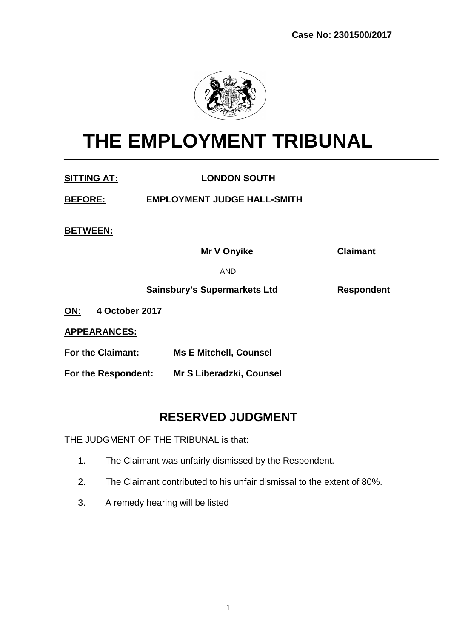

# **THE EMPLOYMENT TRIBUNAL**

**SITTING AT: LONDON SOUTH**

**BEFORE: EMPLOYMENT JUDGE HALL-SMITH** 

**BETWEEN:**

**Mr V Onyike Claimant**

AND

**Sainsbury's Supermarkets Ltd Respondent**

**ON: 4 October 2017**

**APPEARANCES:**

**For the Claimant: Ms E Mitchell, Counsel**

**For the Respondent: Mr S Liberadzki, Counsel**

# **RESERVED JUDGMENT**

THE JUDGMENT OF THE TRIBUNAL is that:

- 1. The Claimant was unfairly dismissed by the Respondent.
- 2. The Claimant contributed to his unfair dismissal to the extent of 80%.
- 3. A remedy hearing will be listed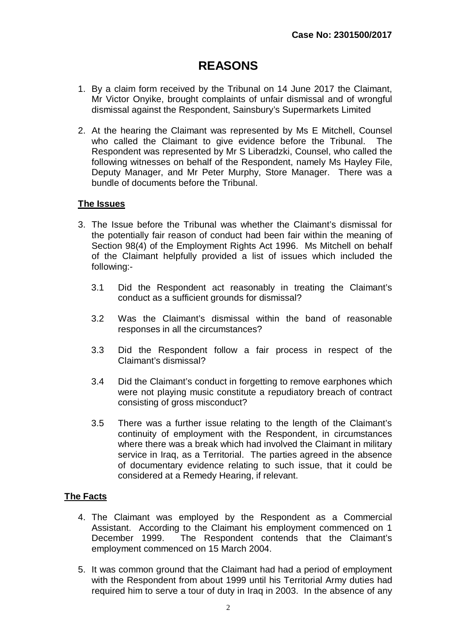# **REASONS**

- 1. By a claim form received by the Tribunal on 14 June 2017 the Claimant, Mr Victor Onyike, brought complaints of unfair dismissal and of wrongful dismissal against the Respondent, Sainsbury's Supermarkets Limited
- 2. At the hearing the Claimant was represented by Ms E Mitchell, Counsel who called the Claimant to give evidence before the Tribunal. The Respondent was represented by Mr S Liberadzki, Counsel, who called the following witnesses on behalf of the Respondent, namely Ms Hayley File, Deputy Manager, and Mr Peter Murphy, Store Manager. There was a bundle of documents before the Tribunal.

## **The Issues**

- 3. The Issue before the Tribunal was whether the Claimant's dismissal for the potentially fair reason of conduct had been fair within the meaning of Section 98(4) of the Employment Rights Act 1996. Ms Mitchell on behalf of the Claimant helpfully provided a list of issues which included the following:-
	- 3.1 Did the Respondent act reasonably in treating the Claimant's conduct as a sufficient grounds for dismissal?
	- 3.2 Was the Claimant's dismissal within the band of reasonable responses in all the circumstances?
	- 3.3 Did the Respondent follow a fair process in respect of the Claimant's dismissal?
	- 3.4 Did the Claimant's conduct in forgetting to remove earphones which were not playing music constitute a repudiatory breach of contract consisting of gross misconduct?
	- 3.5 There was a further issue relating to the length of the Claimant's continuity of employment with the Respondent, in circumstances where there was a break which had involved the Claimant in military service in Iraq, as a Territorial. The parties agreed in the absence of documentary evidence relating to such issue, that it could be considered at a Remedy Hearing, if relevant.

## **The Facts**

- 4. The Claimant was employed by the Respondent as a Commercial Assistant. According to the Claimant his employment commenced on 1 December 1999. The Respondent contends that the Claimant's employment commenced on 15 March 2004.
- 5. It was common ground that the Claimant had had a period of employment with the Respondent from about 1999 until his Territorial Army duties had required him to serve a tour of duty in Iraq in 2003. In the absence of any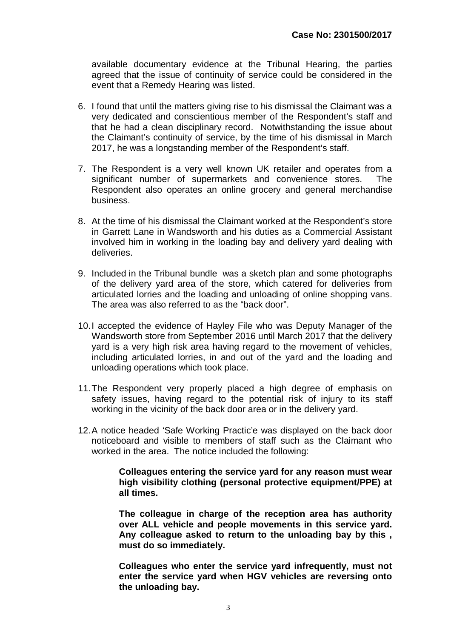available documentary evidence at the Tribunal Hearing, the parties agreed that the issue of continuity of service could be considered in the event that a Remedy Hearing was listed.

- 6. I found that until the matters giving rise to his dismissal the Claimant was a very dedicated and conscientious member of the Respondent's staff and that he had a clean disciplinary record. Notwithstanding the issue about the Claimant's continuity of service, by the time of his dismissal in March 2017, he was a longstanding member of the Respondent's staff.
- 7. The Respondent is a very well known UK retailer and operates from a significant number of supermarkets and convenience stores. The Respondent also operates an online grocery and general merchandise business.
- 8. At the time of his dismissal the Claimant worked at the Respondent's store in Garrett Lane in Wandsworth and his duties as a Commercial Assistant involved him in working in the loading bay and delivery yard dealing with deliveries.
- 9. Included in the Tribunal bundle was a sketch plan and some photographs of the delivery yard area of the store, which catered for deliveries from articulated lorries and the loading and unloading of online shopping vans. The area was also referred to as the "back door".
- 10.I accepted the evidence of Hayley File who was Deputy Manager of the Wandsworth store from September 2016 until March 2017 that the delivery yard is a very high risk area having regard to the movement of vehicles, including articulated lorries, in and out of the yard and the loading and unloading operations which took place.
- 11.The Respondent very properly placed a high degree of emphasis on safety issues, having regard to the potential risk of injury to its staff working in the vicinity of the back door area or in the delivery yard.
- 12.A notice headed 'Safe Working Practic'e was displayed on the back door noticeboard and visible to members of staff such as the Claimant who worked in the area. The notice included the following:

**Colleagues entering the service yard for any reason must wear high visibility clothing (personal protective equipment/PPE) at all times.**

**The colleague in charge of the reception area has authority over ALL vehicle and people movements in this service yard. Any colleague asked to return to the unloading bay by this , must do so immediately.**

**Colleagues who enter the service yard infrequently, must not enter the service yard when HGV vehicles are reversing onto the unloading bay.**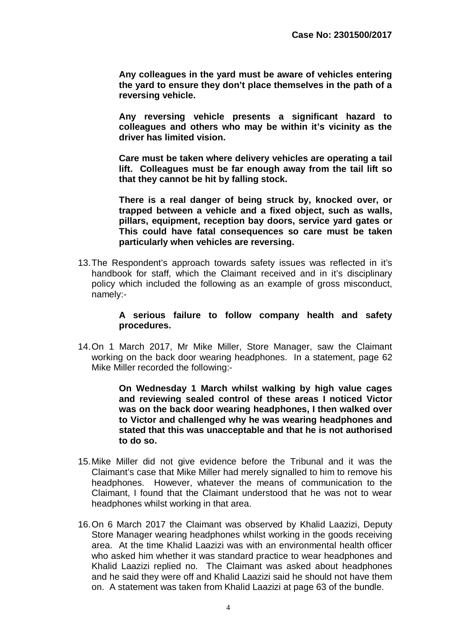**Any colleagues in the yard must be aware of vehicles entering the yard to ensure they don't place themselves in the path of a reversing vehicle.**

**Any reversing vehicle presents a significant hazard to colleagues and others who may be within it's vicinity as the driver has limited vision.**

**Care must be taken where delivery vehicles are operating a tail lift. Colleagues must be far enough away from the tail lift so that they cannot be hit by falling stock.**

**There is a real danger of being struck by, knocked over, or trapped between a vehicle and a fixed object, such as walls, pillars, equipment, reception bay doors, service yard gates or This could have fatal consequences so care must be taken particularly when vehicles are reversing.**

13.The Respondent's approach towards safety issues was reflected in it's handbook for staff, which the Claimant received and in it's disciplinary policy which included the following as an example of gross misconduct, namely:-

#### **A serious failure to follow company health and safety procedures.**

14.On 1 March 2017, Mr Mike Miller, Store Manager, saw the Claimant working on the back door wearing headphones. In a statement, page 62 Mike Miller recorded the following:-

> **On Wednesday 1 March whilst walking by high value cages and reviewing sealed control of these areas I noticed Victor was on the back door wearing headphones, I then walked over to Victor and challenged why he was wearing headphones and stated that this was unacceptable and that he is not authorised to do so.**

- 15.Mike Miller did not give evidence before the Tribunal and it was the Claimant's case that Mike Miller had merely signalled to him to remove his headphones. However, whatever the means of communication to the Claimant, I found that the Claimant understood that he was not to wear headphones whilst working in that area.
- 16.On 6 March 2017 the Claimant was observed by Khalid Laazizi, Deputy Store Manager wearing headphones whilst working in the goods receiving area. At the time Khalid Laazizi was with an environmental health officer who asked him whether it was standard practice to wear headphones and Khalid Laazizi replied no. The Claimant was asked about headphones and he said they were off and Khalid Laazizi said he should not have them on. A statement was taken from Khalid Laazizi at page 63 of the bundle.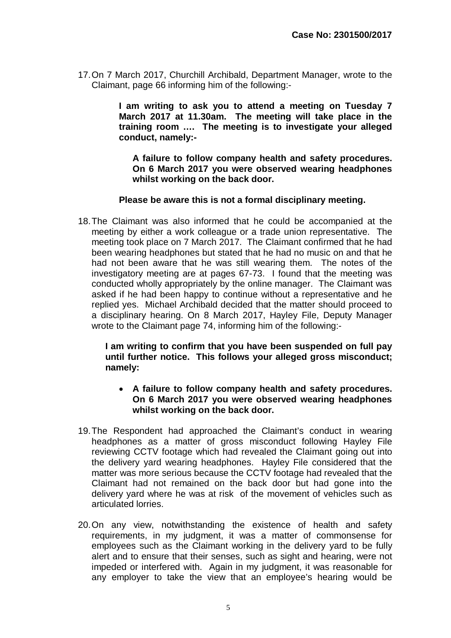17.On 7 March 2017, Churchill Archibald, Department Manager, wrote to the Claimant, page 66 informing him of the following:-

> **I am writing to ask you to attend a meeting on Tuesday 7 March 2017 at 11.30am. The meeting will take place in the training room …. The meeting is to investigate your alleged conduct, namely:-**

**A failure to follow company health and safety procedures. On 6 March 2017 you were observed wearing headphones whilst working on the back door.**

#### **Please be aware this is not a formal disciplinary meeting.**

18.The Claimant was also informed that he could be accompanied at the meeting by either a work colleague or a trade union representative. The meeting took place on 7 March 2017. The Claimant confirmed that he had been wearing headphones but stated that he had no music on and that he had not been aware that he was still wearing them. The notes of the investigatory meeting are at pages 67-73. I found that the meeting was conducted wholly appropriately by the online manager. The Claimant was asked if he had been happy to continue without a representative and he replied yes. Michael Archibald decided that the matter should proceed to a disciplinary hearing. On 8 March 2017, Hayley File, Deputy Manager wrote to the Claimant page 74, informing him of the following:-

**I am writing to confirm that you have been suspended on full pay until further notice. This follows your alleged gross misconduct; namely:**

- **A failure to follow company health and safety procedures. On 6 March 2017 you were observed wearing headphones whilst working on the back door.**
- 19.The Respondent had approached the Claimant's conduct in wearing headphones as a matter of gross misconduct following Hayley File reviewing CCTV footage which had revealed the Claimant going out into the delivery yard wearing headphones. Hayley File considered that the matter was more serious because the CCTV footage had revealed that the Claimant had not remained on the back door but had gone into the delivery yard where he was at risk of the movement of vehicles such as articulated lorries.
- 20.On any view, notwithstanding the existence of health and safety requirements, in my judgment, it was a matter of commonsense for employees such as the Claimant working in the delivery yard to be fully alert and to ensure that their senses, such as sight and hearing, were not impeded or interfered with. Again in my judgment, it was reasonable for any employer to take the view that an employee's hearing would be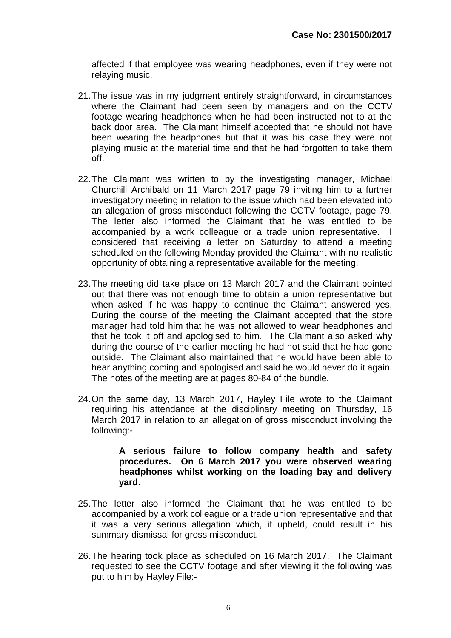affected if that employee was wearing headphones, even if they were not relaying music.

- 21.The issue was in my judgment entirely straightforward, in circumstances where the Claimant had been seen by managers and on the CCTV footage wearing headphones when he had been instructed not to at the back door area. The Claimant himself accepted that he should not have been wearing the headphones but that it was his case they were not playing music at the material time and that he had forgotten to take them off.
- 22.The Claimant was written to by the investigating manager, Michael Churchill Archibald on 11 March 2017 page 79 inviting him to a further investigatory meeting in relation to the issue which had been elevated into an allegation of gross misconduct following the CCTV footage, page 79. The letter also informed the Claimant that he was entitled to be accompanied by a work colleague or a trade union representative. I considered that receiving a letter on Saturday to attend a meeting scheduled on the following Monday provided the Claimant with no realistic opportunity of obtaining a representative available for the meeting.
- 23.The meeting did take place on 13 March 2017 and the Claimant pointed out that there was not enough time to obtain a union representative but when asked if he was happy to continue the Claimant answered yes. During the course of the meeting the Claimant accepted that the store manager had told him that he was not allowed to wear headphones and that he took it off and apologised to him. The Claimant also asked why during the course of the earlier meeting he had not said that he had gone outside. The Claimant also maintained that he would have been able to hear anything coming and apologised and said he would never do it again. The notes of the meeting are at pages 80-84 of the bundle.
- 24.On the same day, 13 March 2017, Hayley File wrote to the Claimant requiring his attendance at the disciplinary meeting on Thursday, 16 March 2017 in relation to an allegation of gross misconduct involving the following:-

#### **A serious failure to follow company health and safety procedures. On 6 March 2017 you were observed wearing headphones whilst working on the loading bay and delivery yard.**

- 25.The letter also informed the Claimant that he was entitled to be accompanied by a work colleague or a trade union representative and that it was a very serious allegation which, if upheld, could result in his summary dismissal for gross misconduct.
- 26.The hearing took place as scheduled on 16 March 2017. The Claimant requested to see the CCTV footage and after viewing it the following was put to him by Hayley File:-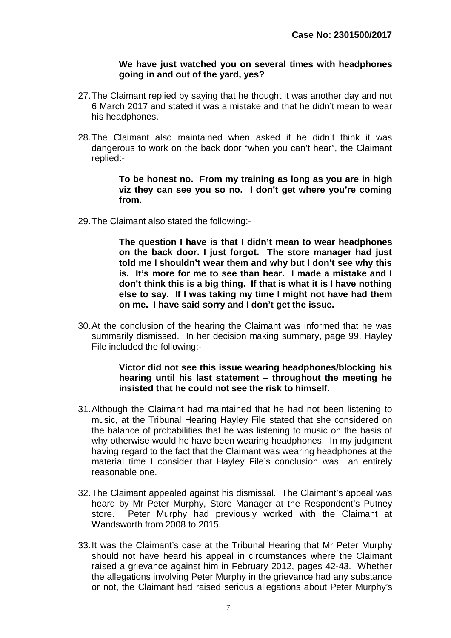#### **We have just watched you on several times with headphones going in and out of the yard, yes?**

- 27.The Claimant replied by saying that he thought it was another day and not 6 March 2017 and stated it was a mistake and that he didn't mean to wear his headphones.
- 28.The Claimant also maintained when asked if he didn't think it was dangerous to work on the back door "when you can't hear", the Claimant replied:-

#### **To be honest no. From my training as long as you are in high viz they can see you so no. I don't get where you're coming from.**

29.The Claimant also stated the following:-

**The question I have is that I didn't mean to wear headphones on the back door. I just forgot. The store manager had just told me I shouldn't wear them and why but I don't see why this is. It's more for me to see than hear. I made a mistake and I don't think this is a big thing. If that is what it is I have nothing else to say. If I was taking my time I might not have had them on me. I have said sorry and I don't get the issue.**

30.At the conclusion of the hearing the Claimant was informed that he was summarily dismissed. In her decision making summary, page 99, Hayley File included the following:-

#### **Victor did not see this issue wearing headphones/blocking his hearing until his last statement – throughout the meeting he insisted that he could not see the risk to himself.**

- 31.Although the Claimant had maintained that he had not been listening to music, at the Tribunal Hearing Hayley File stated that she considered on the balance of probabilities that he was listening to music on the basis of why otherwise would he have been wearing headphones. In my judgment having regard to the fact that the Claimant was wearing headphones at the material time I consider that Hayley File's conclusion was an entirely reasonable one.
- 32.The Claimant appealed against his dismissal. The Claimant's appeal was heard by Mr Peter Murphy, Store Manager at the Respondent's Putney store. Peter Murphy had previously worked with the Claimant at Wandsworth from 2008 to 2015.
- 33.It was the Claimant's case at the Tribunal Hearing that Mr Peter Murphy should not have heard his appeal in circumstances where the Claimant raised a grievance against him in February 2012, pages 42-43. Whether the allegations involving Peter Murphy in the grievance had any substance or not, the Claimant had raised serious allegations about Peter Murphy's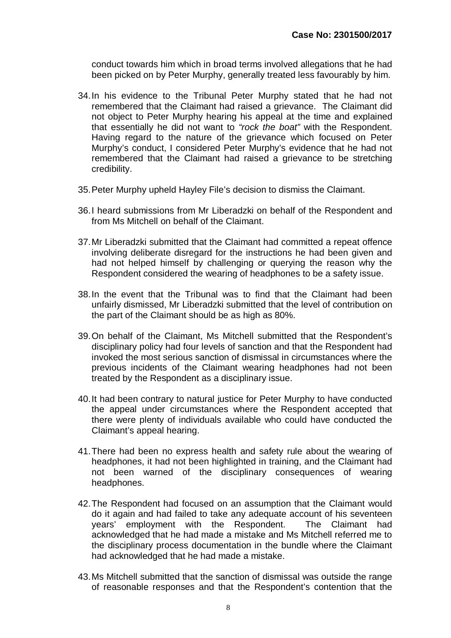conduct towards him which in broad terms involved allegations that he had been picked on by Peter Murphy, generally treated less favourably by him.

- 34.In his evidence to the Tribunal Peter Murphy stated that he had not remembered that the Claimant had raised a grievance. The Claimant did not object to Peter Murphy hearing his appeal at the time and explained that essentially he did not want to *"rock the boat"* with the Respondent. Having regard to the nature of the grievance which focused on Peter Murphy's conduct, I considered Peter Murphy's evidence that he had not remembered that the Claimant had raised a grievance to be stretching credibility.
- 35.Peter Murphy upheld Hayley File's decision to dismiss the Claimant.
- 36.I heard submissions from Mr Liberadzki on behalf of the Respondent and from Ms Mitchell on behalf of the Claimant.
- 37.Mr Liberadzki submitted that the Claimant had committed a repeat offence involving deliberate disregard for the instructions he had been given and had not helped himself by challenging or querying the reason why the Respondent considered the wearing of headphones to be a safety issue.
- 38.In the event that the Tribunal was to find that the Claimant had been unfairly dismissed, Mr Liberadzki submitted that the level of contribution on the part of the Claimant should be as high as 80%.
- 39.On behalf of the Claimant, Ms Mitchell submitted that the Respondent's disciplinary policy had four levels of sanction and that the Respondent had invoked the most serious sanction of dismissal in circumstances where the previous incidents of the Claimant wearing headphones had not been treated by the Respondent as a disciplinary issue.
- 40.It had been contrary to natural justice for Peter Murphy to have conducted the appeal under circumstances where the Respondent accepted that there were plenty of individuals available who could have conducted the Claimant's appeal hearing.
- 41.There had been no express health and safety rule about the wearing of headphones, it had not been highlighted in training, and the Claimant had not been warned of the disciplinary consequences of wearing headphones.
- 42.The Respondent had focused on an assumption that the Claimant would do it again and had failed to take any adequate account of his seventeen years' employment with the Respondent. The Claimant had acknowledged that he had made a mistake and Ms Mitchell referred me to the disciplinary process documentation in the bundle where the Claimant had acknowledged that he had made a mistake.
- 43.Ms Mitchell submitted that the sanction of dismissal was outside the range of reasonable responses and that the Respondent's contention that the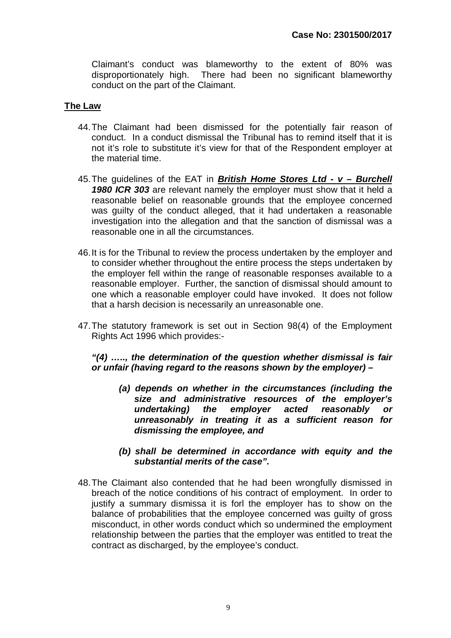Claimant's conduct was blameworthy to the extent of 80% was disproportionately high. There had been no significant blameworthy conduct on the part of the Claimant.

### **The Law**

- 44.The Claimant had been dismissed for the potentially fair reason of conduct. In a conduct dismissal the Tribunal has to remind itself that it is not it's role to substitute it's view for that of the Respondent employer at the material time.
- 45.The guidelines of the EAT in *British Home Stores Ltd v Burchell 1980 ICR 303* are relevant namely the employer must show that it held a reasonable belief on reasonable grounds that the employee concerned was guilty of the conduct alleged, that it had undertaken a reasonable investigation into the allegation and that the sanction of dismissal was a reasonable one in all the circumstances.
- 46.It is for the Tribunal to review the process undertaken by the employer and to consider whether throughout the entire process the steps undertaken by the employer fell within the range of reasonable responses available to a reasonable employer. Further, the sanction of dismissal should amount to one which a reasonable employer could have invoked. It does not follow that a harsh decision is necessarily an unreasonable one.
- 47.The statutory framework is set out in Section 98(4) of the Employment Rights Act 1996 which provides:-

*"(4) ….., the determination of the question whether dismissal is fair or unfair (having regard to the reasons shown by the employer) –*

- *(a) depends on whether in the circumstances (including the size and administrative resources of the employer's undertaking) the employer acted reasonably or unreasonably in treating it as a sufficient reason for dismissing the employee, and*
- *(b) shall be determined in accordance with equity and the substantial merits of the case".*
- 48.The Claimant also contended that he had been wrongfully dismissed in breach of the notice conditions of his contract of employment. In order to justify a summary dismissa it is forl the employer has to show on the balance of probabilities that the employee concerned was guilty of gross misconduct, in other words conduct which so undermined the employment relationship between the parties that the employer was entitled to treat the contract as discharged, by the employee's conduct.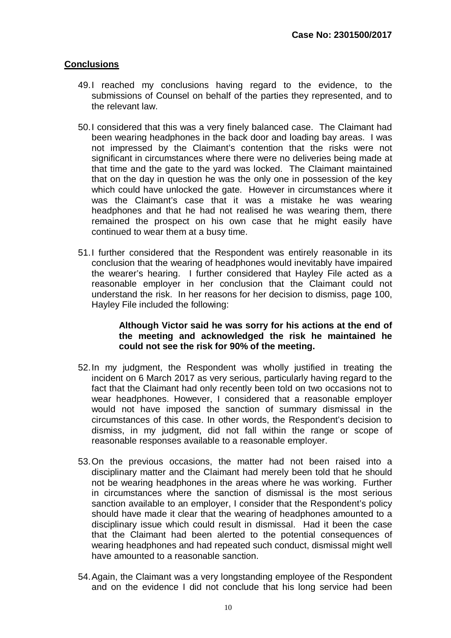#### **Conclusions**

- 49.I reached my conclusions having regard to the evidence, to the submissions of Counsel on behalf of the parties they represented, and to the relevant law.
- 50.I considered that this was a very finely balanced case. The Claimant had been wearing headphones in the back door and loading bay areas. I was not impressed by the Claimant's contention that the risks were not significant in circumstances where there were no deliveries being made at that time and the gate to the yard was locked. The Claimant maintained that on the day in question he was the only one in possession of the key which could have unlocked the gate. However in circumstances where it was the Claimant's case that it was a mistake he was wearing headphones and that he had not realised he was wearing them, there remained the prospect on his own case that he might easily have continued to wear them at a busy time.
- 51.I further considered that the Respondent was entirely reasonable in its conclusion that the wearing of headphones would inevitably have impaired the wearer's hearing. I further considered that Hayley File acted as a reasonable employer in her conclusion that the Claimant could not understand the risk. In her reasons for her decision to dismiss, page 100, Hayley File included the following:

#### **Although Victor said he was sorry for his actions at the end of the meeting and acknowledged the risk he maintained he could not see the risk for 90% of the meeting.**

- 52.In my judgment, the Respondent was wholly justified in treating the incident on 6 March 2017 as very serious, particularly having regard to the fact that the Claimant had only recently been told on two occasions not to wear headphones. However, I considered that a reasonable employer would not have imposed the sanction of summary dismissal in the circumstances of this case. In other words, the Respondent's decision to dismiss, in my judgment, did not fall within the range or scope of reasonable responses available to a reasonable employer.
- 53.On the previous occasions, the matter had not been raised into a disciplinary matter and the Claimant had merely been told that he should not be wearing headphones in the areas where he was working. Further in circumstances where the sanction of dismissal is the most serious sanction available to an employer, I consider that the Respondent's policy should have made it clear that the wearing of headphones amounted to a disciplinary issue which could result in dismissal. Had it been the case that the Claimant had been alerted to the potential consequences of wearing headphones and had repeated such conduct, dismissal might well have amounted to a reasonable sanction.
- 54.Again, the Claimant was a very longstanding employee of the Respondent and on the evidence I did not conclude that his long service had been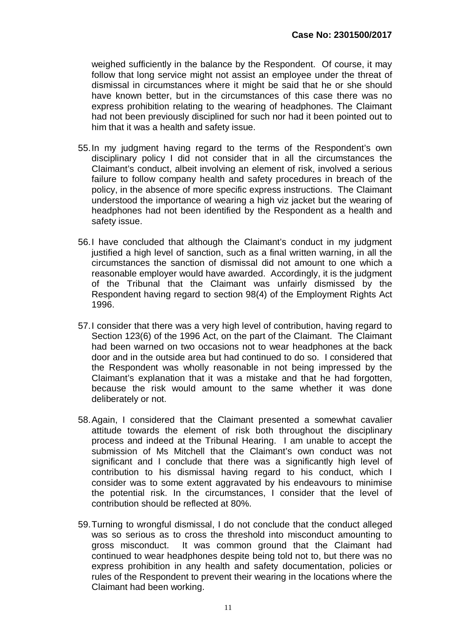weighed sufficiently in the balance by the Respondent. Of course, it may follow that long service might not assist an employee under the threat of dismissal in circumstances where it might be said that he or she should have known better, but in the circumstances of this case there was no express prohibition relating to the wearing of headphones. The Claimant had not been previously disciplined for such nor had it been pointed out to him that it was a health and safety issue.

- 55.In my judgment having regard to the terms of the Respondent's own disciplinary policy I did not consider that in all the circumstances the Claimant's conduct, albeit involving an element of risk, involved a serious failure to follow company health and safety procedures in breach of the policy, in the absence of more specific express instructions. The Claimant understood the importance of wearing a high viz jacket but the wearing of headphones had not been identified by the Respondent as a health and safety issue.
- 56.I have concluded that although the Claimant's conduct in my judgment justified a high level of sanction, such as a final written warning, in all the circumstances the sanction of dismissal did not amount to one which a reasonable employer would have awarded. Accordingly, it is the judgment of the Tribunal that the Claimant was unfairly dismissed by the Respondent having regard to section 98(4) of the Employment Rights Act 1996.
- 57.I consider that there was a very high level of contribution, having regard to Section 123(6) of the 1996 Act, on the part of the Claimant. The Claimant had been warned on two occasions not to wear headphones at the back door and in the outside area but had continued to do so. I considered that the Respondent was wholly reasonable in not being impressed by the Claimant's explanation that it was a mistake and that he had forgotten, because the risk would amount to the same whether it was done deliberately or not.
- 58.Again, I considered that the Claimant presented a somewhat cavalier attitude towards the element of risk both throughout the disciplinary process and indeed at the Tribunal Hearing. I am unable to accept the submission of Ms Mitchell that the Claimant's own conduct was not significant and I conclude that there was a significantly high level of contribution to his dismissal having regard to his conduct, which I consider was to some extent aggravated by his endeavours to minimise the potential risk. In the circumstances, I consider that the level of contribution should be reflected at 80%.
- 59.Turning to wrongful dismissal, I do not conclude that the conduct alleged was so serious as to cross the threshold into misconduct amounting to gross misconduct. It was common ground that the Claimant had continued to wear headphones despite being told not to, but there was no express prohibition in any health and safety documentation, policies or rules of the Respondent to prevent their wearing in the locations where the Claimant had been working.